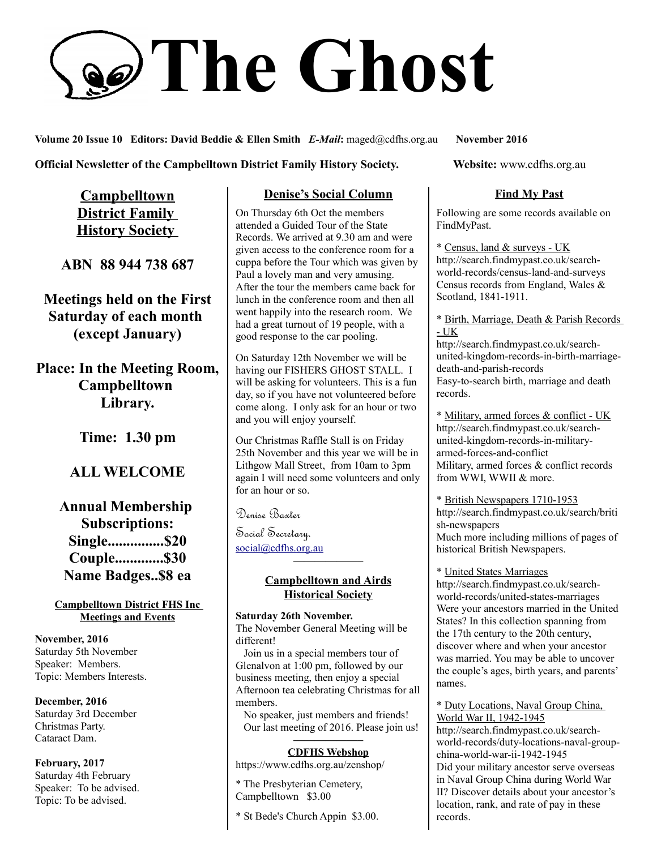# **The Ghost**

**Volume 20 Issue 10 Editors: David Beddie & Ellen Smith** *E-Mail***:** maged@cdfhs.org.au **November 2016**

**Official Newsletter of the Campbelltown District Family History Society. Website: www.cdfhs.org.au** 

**Campbelltown District Family History Society** 

**ABN 88 944 738 687**

**Meetings held on the First Saturday of each month (except January)**

**Place: In the Meeting Room, Campbelltown Library.**

**Time: 1.30 pm**

# **ALL WELCOME**

**Annual Membership Subscriptions: Single...............\$20 Couple.............\$30 Name Badges..\$8 ea**

#### **Campbelltown District FHS Inc Meetings and Events**

**November, 2016** Saturday 5th November Speaker: Members. Topic: Members Interests.

**December, 2016** Saturday 3rd December Christmas Party. Cataract Dam.

**February, 2017** Saturday 4th February Speaker: To be advised. Topic: To be advised.

#### **Denise's Social Column**

On Thursday 6th Oct the members attended a Guided Tour of the State Records. We arrived at 9.30 am and were given access to the conference room for a cuppa before the Tour which was given by Paul a lovely man and very amusing. After the tour the members came back for lunch in the conference room and then all went happily into the research room. We had a great turnout of 19 people, with a good response to the car pooling.

On Saturday 12th November we will be having our FISHERS GHOST STALL. I will be asking for volunteers. This is a fun day, so if you have not volunteered before come along. I only ask for an hour or two and you will enjoy yourself.

Our Christmas Raffle Stall is on Friday 25th November and this year we will be in Lithgow Mall Street, from 10am to 3pm again I will need some volunteers and only for an hour or so.

Denise Baxter

Social Secretary. [social@cdfhs.org.au](mailto:social@cdfhs.org.au)

#### **Campbelltown and Airds Historical Society**

**——————–**

**Saturday 26th November.** The November General Meeting will be different!

 Join us in a special members tour of Glenalvon at 1:00 pm, followed by our business meeting, then enjoy a special Afternoon tea celebrating Christmas for all members.

 No speaker, just members and friends! Our last meeting of 2016. Please join us!

#### **——————– CDFHS Webshop**

https://www.cdfhs.org.au/zenshop/

\* The Presbyterian Cemetery, Campbelltown \$3.00

\* St Bede's Church Appin \$3.00.

### **Find My Past**

Following are some records available on FindMyPast.

\* Census, land & surveys - UK http://search.findmypast.co.uk/searchworld-records/census-land-and-surveys Census records from England, Wales & Scotland, 1841-1911.

\* Birth, Marriage, Death & Parish Records - UK

http://search.findmypast.co.uk/searchunited-kingdom-records-in-birth-marriagedeath-and-parish-records Easy-to-search birth, marriage and death records.

\* Military, armed forces & conflict - UK http://search.findmypast.co.uk/searchunited-kingdom-records-in-militaryarmed-forces-and-conflict Military, armed forces & conflict records from WWI, WWII & more.

\* British Newspapers 1710-1953 http://search.findmypast.co.uk/search/briti sh-newspapers Much more including millions of pages of historical British Newspapers.

\* United States Marriages http://search.findmypast.co.uk/searchworld-records/united-states-marriages Were your ancestors married in the United States? In this collection spanning from the 17th century to the 20th century, discover where and when your ancestor was married. You may be able to uncover the couple's ages, birth years, and parents' names.

\* Duty Locations, Naval Group China, World War II, 1942-1945

http://search.findmypast.co.uk/searchworld-records/duty-locations-naval-groupchina-world-war-ii-1942-1945 Did your military ancestor serve overseas in Naval Group China during World War II? Discover details about your ancestor's location, rank, and rate of pay in these records.